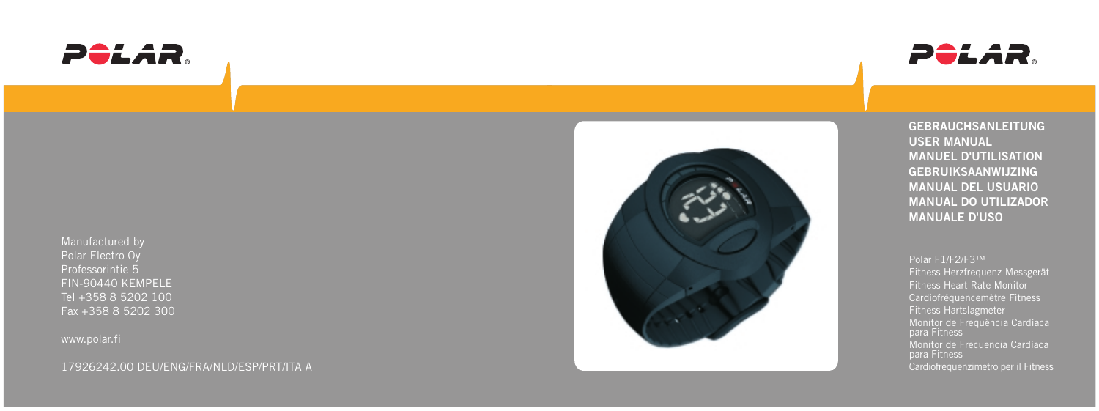



Manufactured by Polar Electro Oy Professorintie 5 FIN-90440 KEMPELE Tel +358 8 5202 100 Fax +358 8 5202 300

www.polar.fi

17926242.00 DEU/ENG/FRA/NLD/ESP/PRT/ITA A



**GEBRAUCHSANLEITUNG USER MANUAL MANUEL D'UTILISATION GEBRUIKSAANWIJZING MANUAL DEL USUARIO MANUAL DO UTILIZADOR MANUALE D'USO**

Polar F1/F2/F3™ Fitness Herzfrequenz-Messgerät Fitness Heart Rate Monitor Cardiofréquencemètre Fitness Fitness Hartslagmeter Monitor de Frequência Cardíaca para Fitness Monitor de Frecuencia Cardíaca para Fitness Cardiofrequenzimetro per il Fitness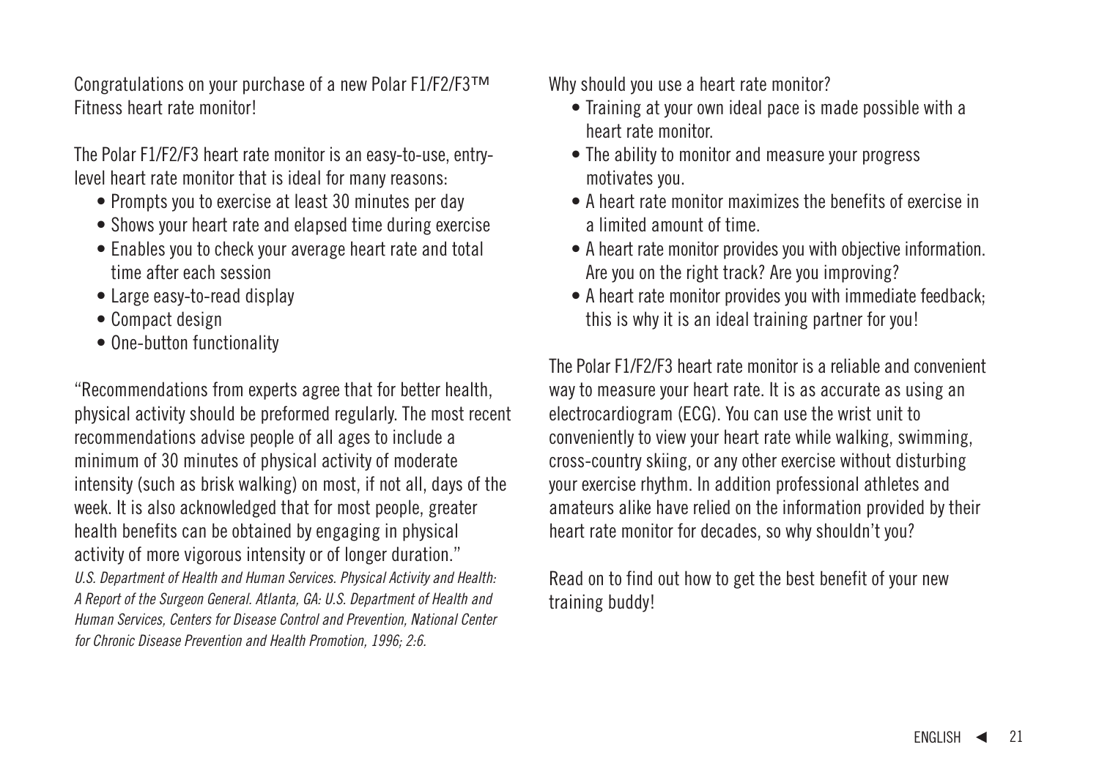Congratulations on your purchase of a new Polar F1/F2/F3™ Fitness heart rate monitor!

The Polar F1/F2/F3 heart rate monitor is an easy-to-use, entrylevel heart rate monitor that is ideal for many reasons:

- Prompts you to exercise at least 30 minutes per day
- Shows your heart rate and elapsed time during exercise
- Enables you to check your average heart rate and total time after each session
- Large easy-to-read display
- Compact design
- One-button functionality

"Recommendations from experts agree that for better health, physical activity should be preformed regularly. The most recent recommendations advise people of all ages to include a minimum of 30 minutes of physical activity of moderate intensity (such as brisk walking) on most, if not all, days of the week. It is also acknowledged that for most people, greater health benefits can be obtained by engaging in physical activity of more vigorous intensity or of longer duration." U.S. Department of Health and Human Services. Physical Activity and Health: A Report of the Surgeon General. Atlanta, GA: U.S. Department of Health and Human Services, Centers for Disease Control and Prevention, National Center for Chronic Disease Prevention and Health Promotion, 1996; 2:6.

Why should you use a heart rate monitor?

- Training at your own ideal pace is made possible with a heart rate monitor.
- The ability to monitor and measure your progress motivates you.
- A heart rate monitor maximizes the benefits of exercise in a limited amount of time.
- A heart rate monitor provides you with objective information. Are you on the right track? Are you improving?
- A heart rate monitor provides you with immediate feedback; this is why it is an ideal training partner for you!

The Polar F1/F2/F3 heart rate monitor is a reliable and convenient way to measure your heart rate. It is as accurate as using an electrocardiogram (ECG). You can use the wrist unit to conveniently to view your heart rate while walking, swimming, cross-country skiing, or any other exercise without disturbing your exercise rhythm. In addition professional athletes and amateurs alike have relied on the information provided by their heart rate monitor for decades, so why shouldn't you?

Read on to find out how to get the best benefit of your new training buddy!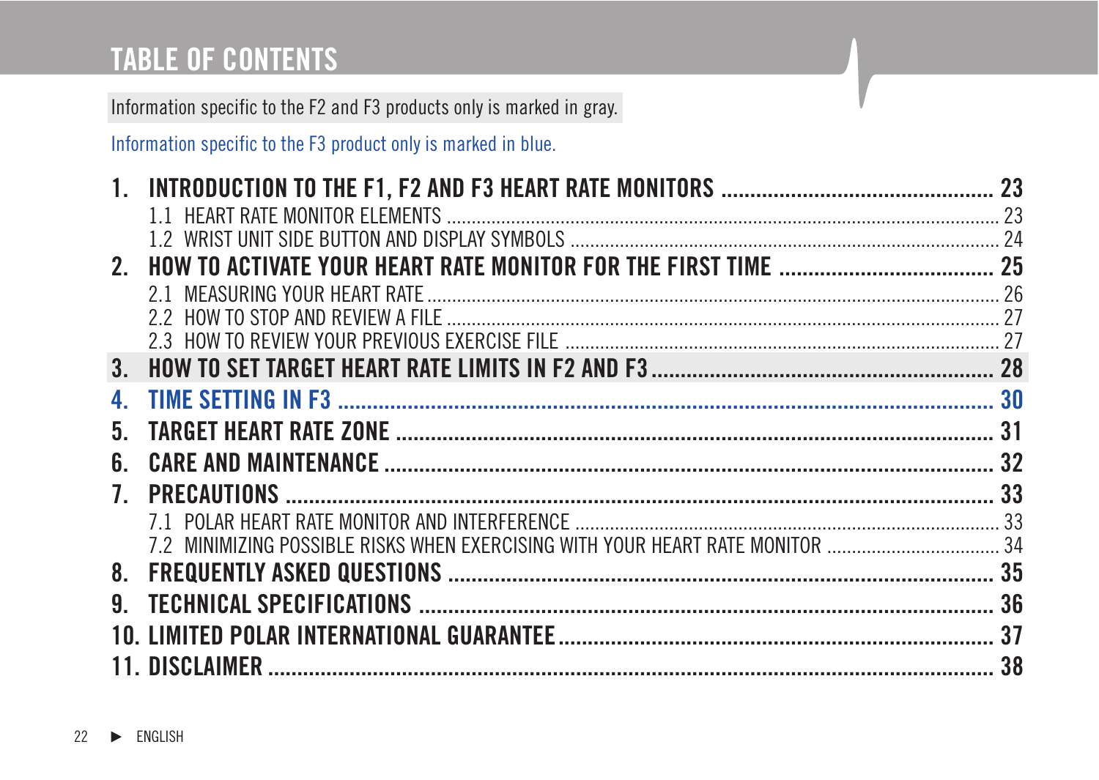# **TABLE OF CONTENTS**

Information specific to the F2 and F3 products only is marked in gray.

Information specific to the F3 product only is marked in blue.

| 4.             |                                                                                |  |
|----------------|--------------------------------------------------------------------------------|--|
| 5.             |                                                                                |  |
| 6.             |                                                                                |  |
| 7 <sup>7</sup> |                                                                                |  |
|                |                                                                                |  |
|                | 7.2 MINIMIZING POSSIBLE RISKS WHEN EXERCISING WITH YOUR HEART RATE MONITOR  34 |  |
|                |                                                                                |  |
| 9.             |                                                                                |  |
|                |                                                                                |  |
|                |                                                                                |  |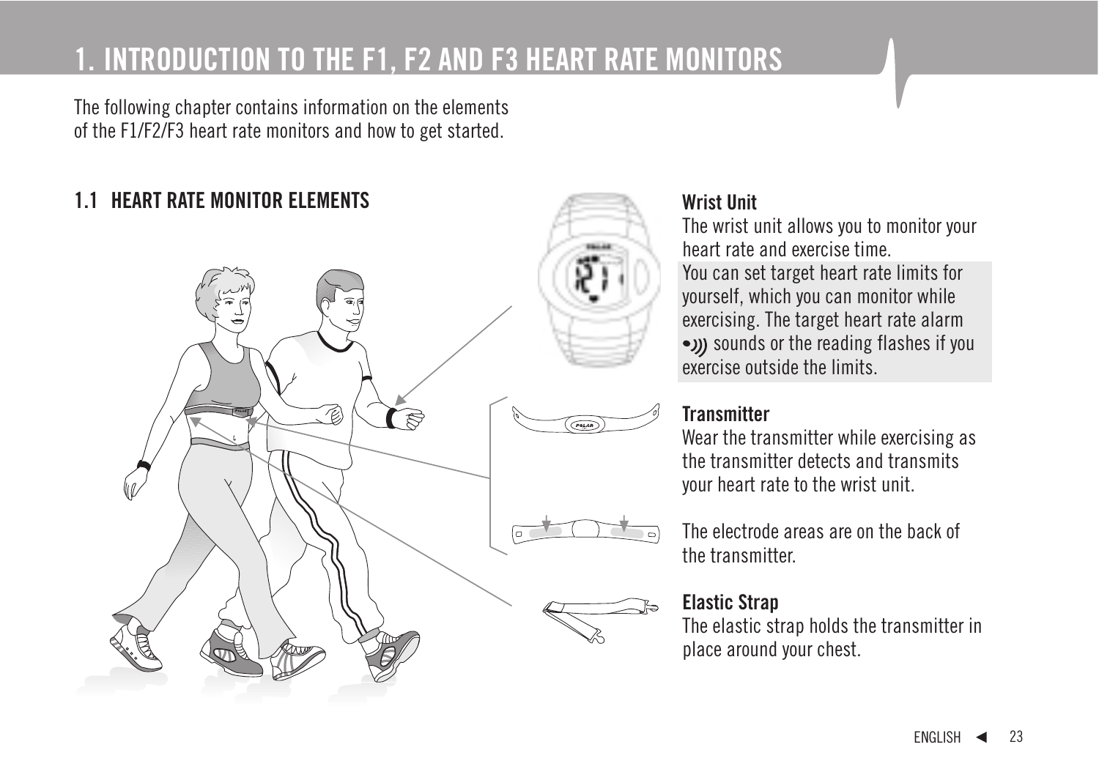### **1. INTRODUCTION TO THE F1, F2 AND F3 HEART RATE MONITORS**

The following chapter contains information on the elements of the F1/F2/F3 heart rate monitors and how to get started.

### **1.1 HEART RATE MONITOR ELEMENTS Wrist Unit**



The wrist unit allows you to monitor your heart rate and exercise time. You can set target heart rate limits for yourself, which you can monitor while exercising. The target heart rate alarm •)) sounds or the reading flashes if you exercise outside the limits.

### **Transmitter**

Wear the transmitter while exercising as the transmitter detects and transmits your heart rate to the wrist unit.

The electrode areas are on the back of the transmitter.

### **Elastic Strap**

The elastic strap holds the transmitter in place around your chest.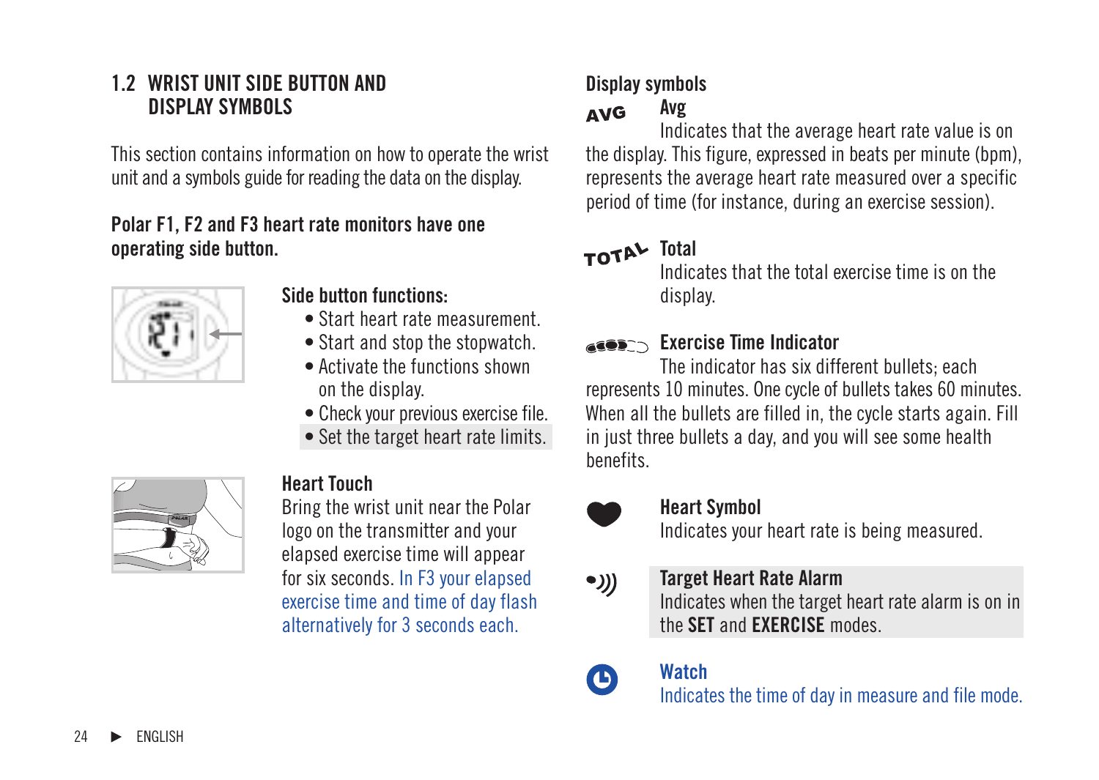### **1.2 WRIST UNIT SIDE BUTTON AND DISPLAY SYMBOLS**

This section contains information on how to operate the wrist unit and a symbols guide for reading the data on the display.

#### **Polar F1, F2 and F3 heart rate monitors have one operating side button.**



#### **Side button functions:**

- Start heart rate measurement.
- Start and stop the stopwatch.
- Activate the functions shown on the display.
- Check your previous exercise file.
- Set the target heart rate limits.



### **Heart Touch**

Bring the wrist unit near the Polar logo on the transmitter and your elapsed exercise time will appear for six seconds. In F3 your elapsed exercise time and time of day flash alternatively for 3 seconds each.

# **Display symbols**

#### **AVG Avg**

Indicates that the average heart rate value is on the display. This figure, expressed in beats per minute (bpm), represents the average heart rate measured over a specific period of time (for instance, during an exercise session).

### TOTAL Total

Indicates that the total exercise time is on the display.

### **Exercise Time Indicator**

The indicator has six different bullets; each represents 10 minutes. One cycle of bullets takes 60 minutes. When all the bullets are filled in, the cycle starts again. Fill in just three bullets a day, and you will see some health benefits.



Ð

#### **Heart Symbol**

Indicates your heart rate is being measured.

#### **Target Heart Rate Alarm** •)))

Indicates when the target heart rate alarm is on in the **SET** and **EXERCISE** modes.

### **Watch**

Indicates the time of day in measure and file mode.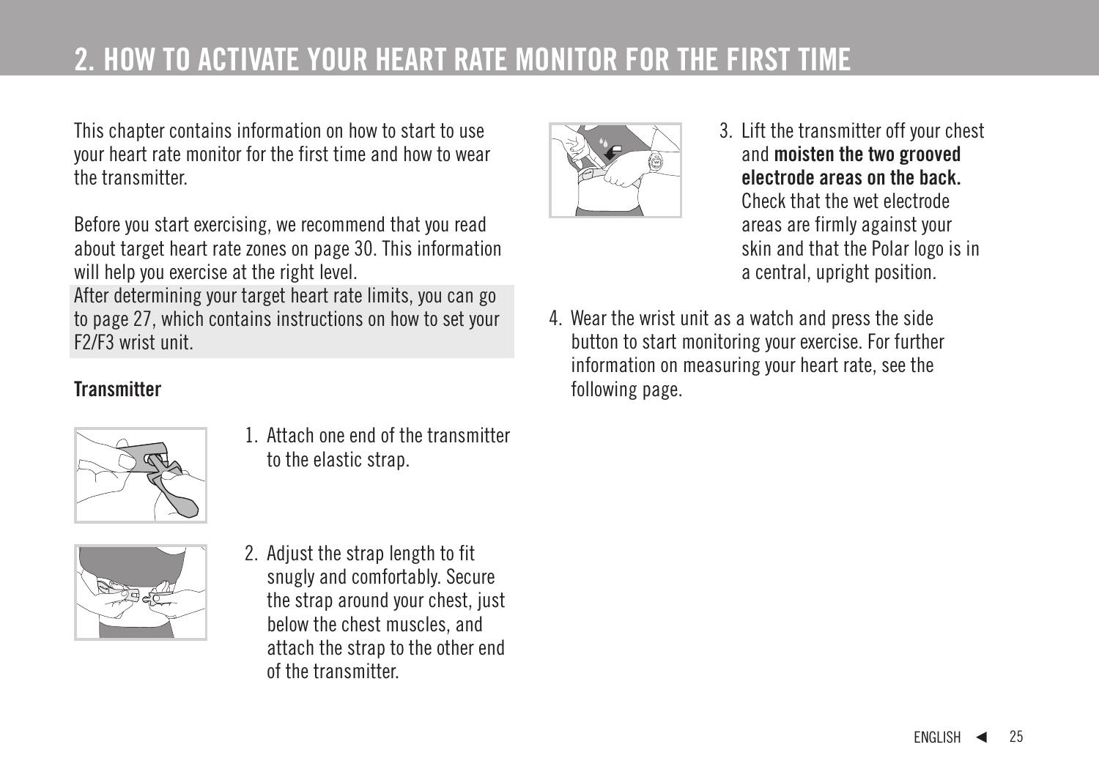### **2. HOW TO ACTIVATE YOUR HEART RATE MONITOR FOR THE FIRST TIME**

This chapter contains information on how to start to use your heart rate monitor for the first time and how to wear the transmitter.

Before you start exercising, we recommend that you read about target heart rate zones on page 30. This information will help you exercise at the right level.

After determining your target heart rate limits, you can go to page 27, which contains instructions on how to set your F2/F3 wrist unit.

### **Transmitter**



1. Attach one end of the transmitter to the elastic strap.



2. Adjust the strap length to fit snugly and comfortably. Secure the strap around your chest, just below the chest muscles, and attach the strap to the other end of the transmitter.



- 3. Lift the transmitter off your chest and **moisten the two grooved electrode areas on the back.** Check that the wet electrode areas are firmly against your skin and that the Polar logo is in a central, upright position.
- 4. Wear the wrist unit as a watch and press the side button to start monitoring your exercise. For further information on measuring your heart rate, see the following page.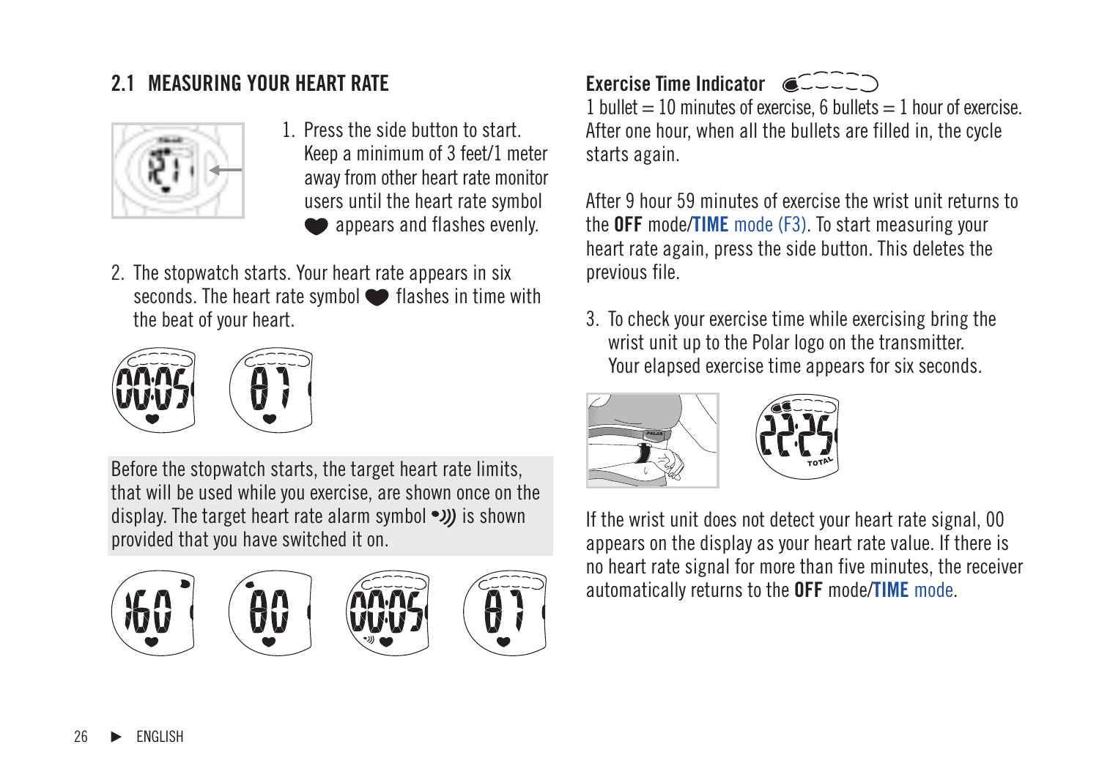

- 1. Press the side button to start. Keep a minimum of 3 feet/1 meter away from other heart rate monitor users until the heart rate symbol appears and flashes evenly.
- 2. The stopwatch starts. Your heart rate appears in six seconds. The heart rate symbol  $\bullet$  flashes in time with the beat of your heart.



Before the stopwatch starts, the target heart rate limits, that will be used while you exercise, are shown once on the display. The target heart rate alarm symbol  $\bullet$ )) is shown provided that you have switched it on.



### 2.1 MEASURING YOUR HEART RATE **All and the Second Time Indicator**  $\alpha$

1 bullet  $= 10$  minutes of exercise, 6 bullets  $= 1$  hour of exercise. After one hour, when all the bullets are filled in, the cycle starts again.

After 9 hour 59 minutes of exercise the wrist unit returns to the **OFF** mode/**TIME** mode (F3). To start measuring your heart rate again, press the side button. This deletes the previous file.

3. To check your exercise time while exercising bring the wrist unit up to the Polar logo on the transmitter. Your elapsed exercise time appears for six seconds.



If the wrist unit does not detect your heart rate signal, 00 appears on the display as your heart rate value. If there is no heart rate signal for more than five minutes, the receiver automatically returns to the **OFF** mode/**TIME** mode.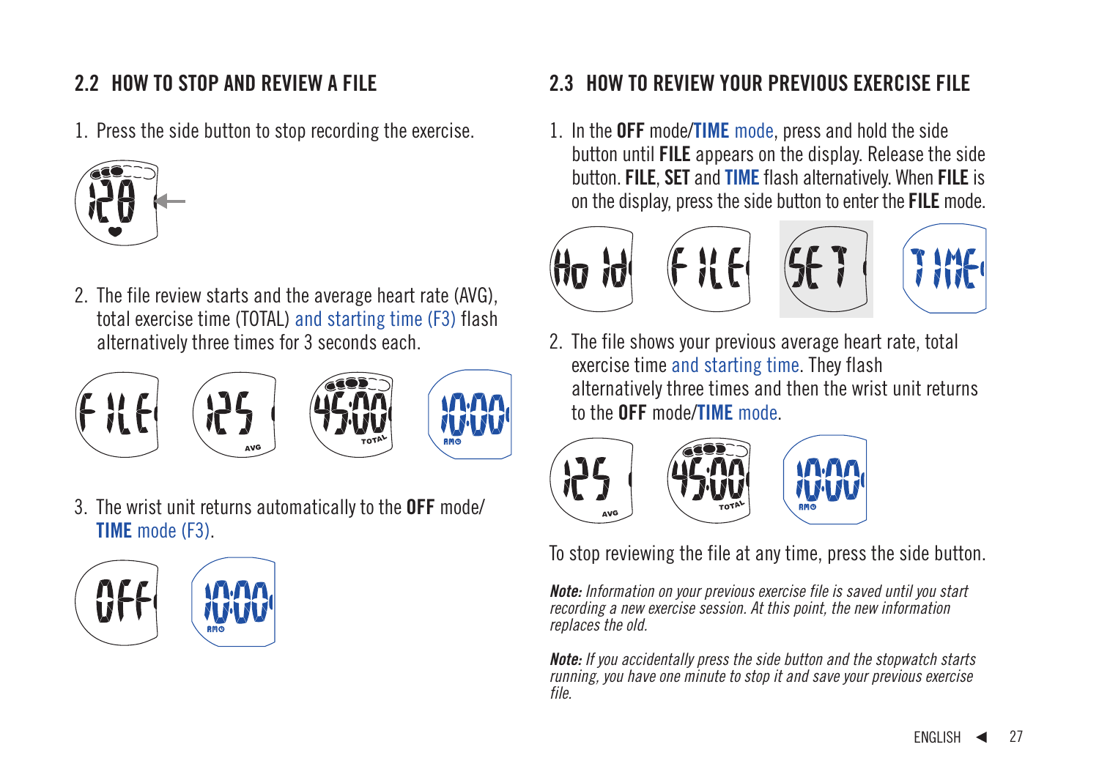### **2.2 HOW TO STOP AND REVIEW A FILE**

1. Press the side button to stop recording the exercise.



2. The file review starts and the average heart rate (AVG), total exercise time (TOTAL) and starting time (F3) flash alternatively three times for 3 seconds each.



3. The wrist unit returns automatically to the **OFF** mode/ **TIME** mode (F3).



### **2.3 HOW TO REVIEW YOUR PREVIOUS EXERCISE FILE**

1. In the **OFF** mode/**TIME** mode, press and hold the side button until **FILE** appears on the display. Release the side button. **FILE**, **SET** and **TIME** flash alternatively. When **FILE** is on the display, press the side button to enter the **FILE** mode.



2. The file shows your previous average heart rate, total exercise time and starting time. They flash alternatively three times and then the wrist unit returns to the **OFF** mode/**TIME** mode.



To stop reviewing the file at any time, press the side button.

**Note:** Information on your previous exercise file is saved until you start recording a new exercise session. At this point, the new information replaces the old.

**Note:** If you accidentally press the side button and the stopwatch starts running, you have one minute to stop it and save your previous exercise file.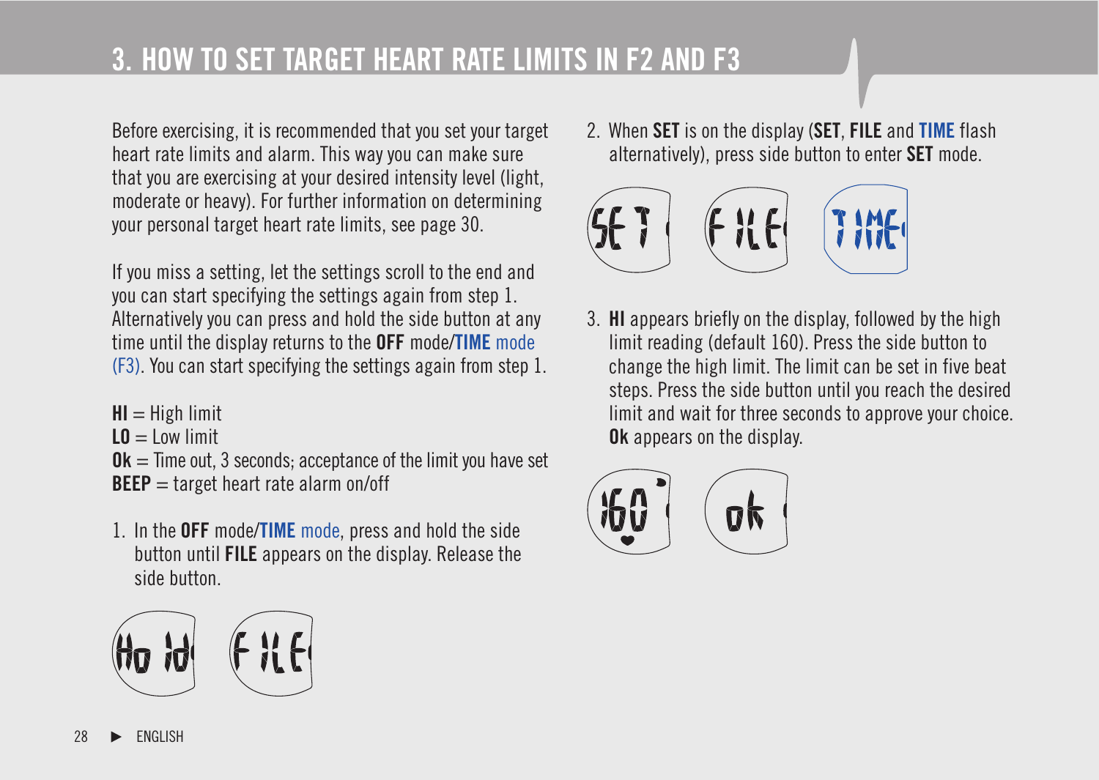# **3. HOW TO SET TARGET HEART RATE LIMITS IN F2 AND F3**

Before exercising, it is recommended that you set your target heart rate limits and alarm. This way you can make sure that you are exercising at your desired intensity level (light, moderate or heavy). For further information on determining your personal target heart rate limits, see page 30.

If you miss a setting, let the settings scroll to the end and you can start specifying the settings again from step 1. Alternatively you can press and hold the side button at any time until the display returns to the **OFF** mode/**TIME** mode (F3). You can start specifying the settings again from step 1.

- **HI** = High limit  $L0 =$ Low limit  $0k =$  Time out, 3 seconds; acceptance of the limit you have set **BEEP** = target heart rate alarm on/off
- 1. In the **OFF** mode/**TIME** mode, press and hold the side button until **FILE** appears on the display. Release the side button.







3. **HI** appears briefly on the display, followed by the high limit reading (default 160). Press the side button to change the high limit. The limit can be set in five beat steps. Press the side button until you reach the desired limit and wait for three seconds to approve your choice. **Ok** appears on the display.

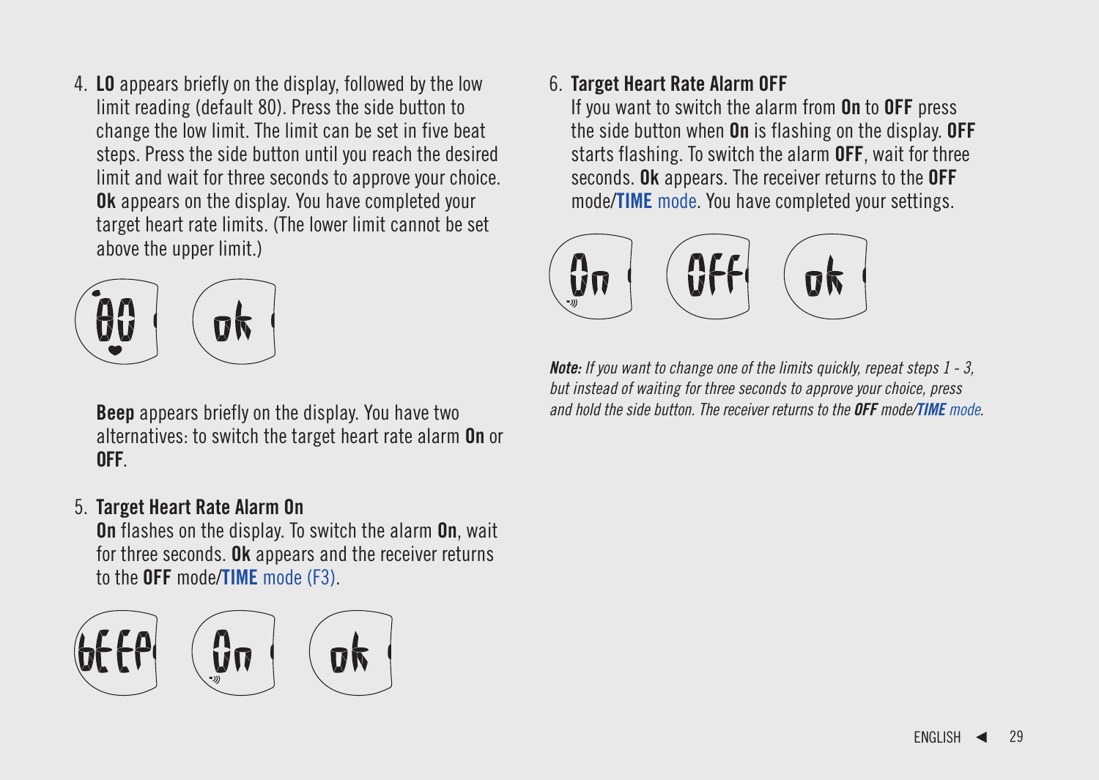4. **LO** appears briefly on the display, followed by the low limit reading (default 80). Press the side button to change the low limit. The limit can be set in five beat steps. Press the side button until you reach the desired limit and wait for three seconds to approve your choice. **Ok** appears on the display. You have completed your target heart rate limits. (The lower limit cannot be set above the upper limit.)



**Beep** appears briefly on the display. You have two alternatives: to switch the target heart rate alarm **On** or **OFF**.

### 5. **Target Heart Rate Alarm On**

**On** flashes on the display. To switch the alarm **On**, wait for three seconds. **Ok** appears and the receiver returns to the **OFF** mode/**TIME** mode (F3).



### 6. **Target Heart Rate Alarm OFF**

If you want to switch the alarm from **On** to **OFF** press the side button when **On** is flashing on the display. **OFF** starts flashing. To switch the alarm **OFF**, wait for three seconds. **Ok** appears. The receiver returns to the **OFF** mode/**TIME** mode. You have completed your settings.



**Note:** If you want to change one of the limits quickly, repeat steps 1 - 3, but instead of waiting for three seconds to approve your choice, press and hold the side button. The receiver returns to the **OFF** mode/**TIME** mode.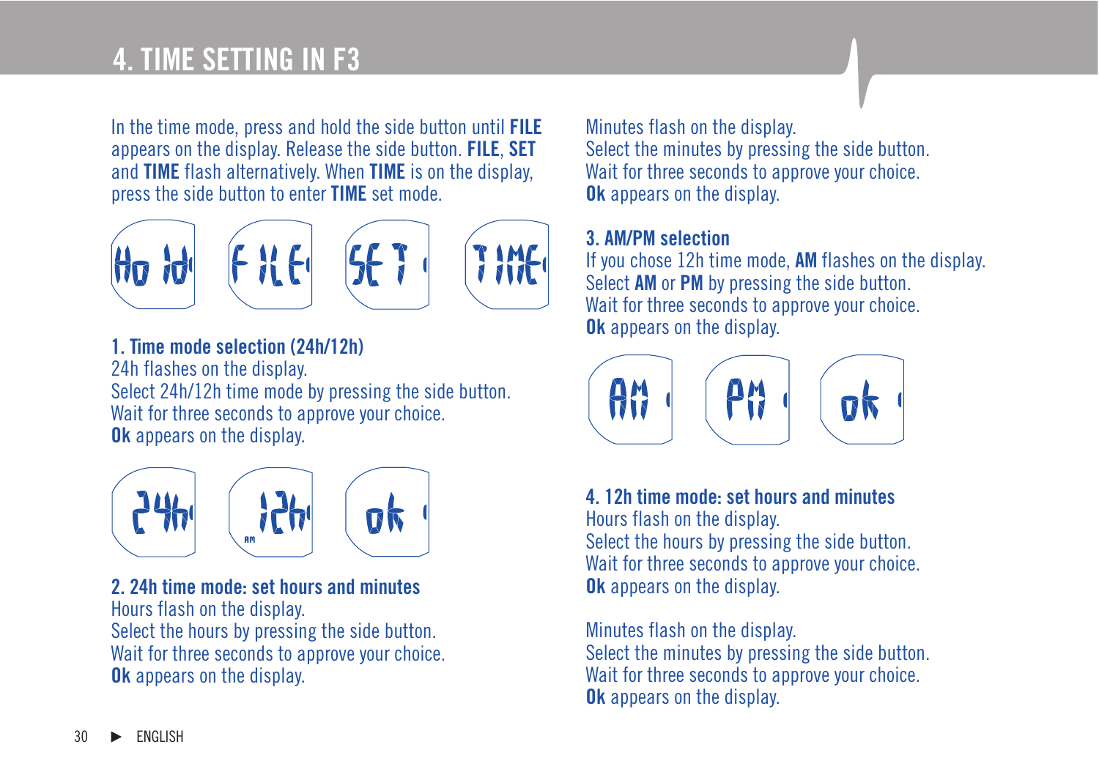# **4. TIME SETTING IN F3**

In the time mode, press and hold the side button until **FILE** appears on the display. Release the side button. **FILE**, **SET** and **TIME** flash alternatively. When **TIME** is on the display, press the side button to enter **TIME** set mode.







**1. Time mode selection (24h/12h)** 24h flashes on the display. Select 24h/12h time mode by pressing the side button. Wait for three seconds to approve your choice. **Ok** appears on the display.



**2. 24h time mode: set hours and minutes** Hours flash on the display. Select the hours by pressing the side button. Wait for three seconds to approve your choice. **Ok** appears on the display.

Minutes flash on the display. Select the minutes by pressing the side button. Wait for three seconds to approve your choice. **Ok** appears on the display.

### **3. AM/PM selection**

If you chose 12h time mode, **AM** flashes on the display. Select **AM** or **PM** by pressing the side button. Wait for three seconds to approve your choice. **Ok** appears on the display.



**4. 12h time mode: set hours and minutes**

Hours flash on the display. Select the hours by pressing the side button. Wait for three seconds to approve your choice. **Ok** appears on the display.

Minutes flash on the display. Select the minutes by pressing the side button. Wait for three seconds to approve your choice. **Ok** appears on the display.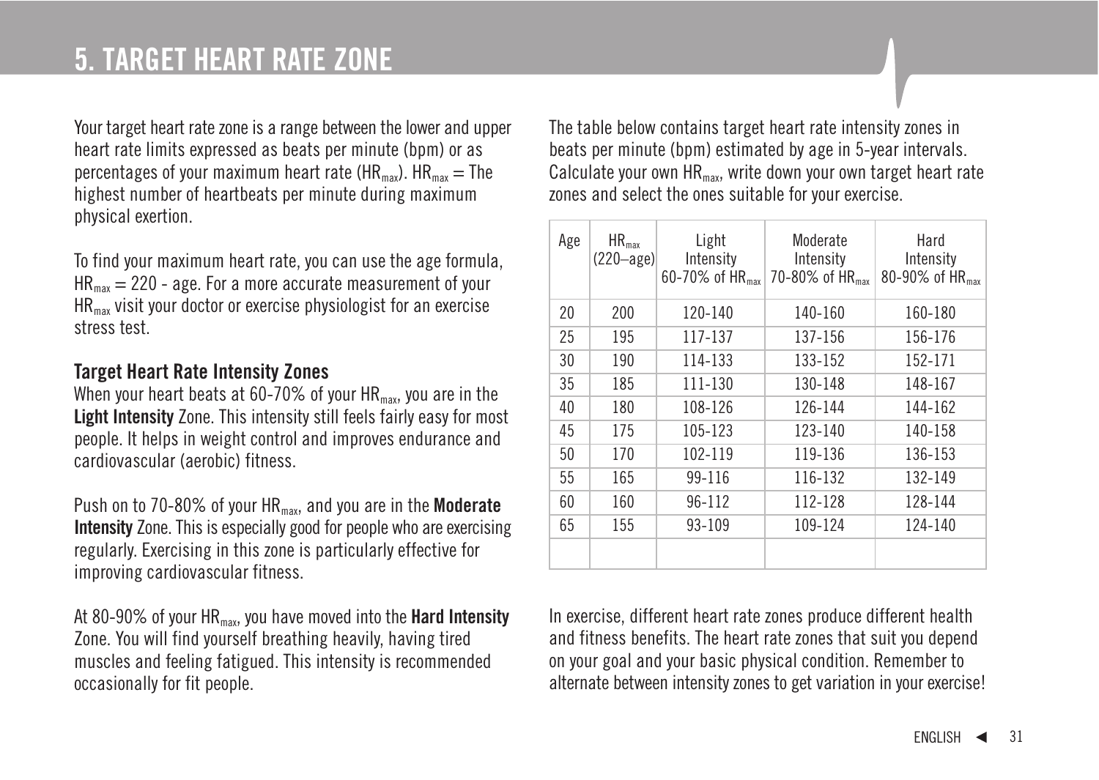### **5. TARGET HEART RATE ZONE**

Your target heart rate zone is a range between the lower and upper heart rate limits expressed as beats per minute (bpm) or as percentages of your maximum heart rate (HR<sub>max</sub>).  $HR_{max} = The$ highest number of heartbeats per minute during maximum physical exertion.

To find your maximum heart rate, you can use the age formula,  $HR_{\text{max}} = 220$  - age. For a more accurate measurement of your HRmax visit your doctor or exercise physiologist for an exercise stress test.

#### **Target Heart Rate Intensity Zones**

When your heart beats at 60-70% of your  $HR_{max}$ , you are in the **Light Intensity** Zone. This intensity still feels fairly easy for most people. It helps in weight control and improves endurance and cardiovascular (aerobic) fitness.

Push on to 70-80% of your HR<sub>max</sub>, and you are in the **Moderate Intensity** Zone. This is especially good for people who are exercising regularly. Exercising in this zone is particularly effective for improving cardiovascular fitness.

At 80-90% of your HRmax, you have moved into the **Hard Intensity** Zone. You will find yourself breathing heavily, having tired muscles and feeling fatigued. This intensity is recommended occasionally for fit people.

The table below contains target heart rate intensity zones in beats per minute (bpm) estimated by age in 5-year intervals. Calculate your own  $HR_{max}$ , write down your own target heart rate zones and select the ones suitable for your exercise.

| Age | $HR_{max}$<br>$(220 - age)$ | Light<br>Intensity<br>60-70% of HR <sub>max</sub> | Moderate<br>Intensity<br>70-80% of HR <sub>max</sub> | Hard<br>Intensity<br>80-90% of HR <sub>max</sub> |
|-----|-----------------------------|---------------------------------------------------|------------------------------------------------------|--------------------------------------------------|
| 20  | 200                         | $120 - 140$                                       | 140-160                                              | 160-180                                          |
| 25  | 195                         | 117-137                                           | 137-156                                              | 156-176                                          |
| 30  | 190                         | 114-133                                           | 133-152                                              | 152-171                                          |
| 35  | 185                         | 111-130                                           | 130-148                                              | 148-167                                          |
| 40  | 180                         | 108-126                                           | 126-144                                              | 144-162                                          |
| 45  | 175                         | 105-123                                           | 123-140                                              | 140-158                                          |
| 50  | 170                         | 102-119                                           | 119-136                                              | 136-153                                          |
| 55  | 165                         | 99-116                                            | 116-132                                              | 132-149                                          |
| 60  | 160                         | 96-112                                            | 112-128                                              | 128-144                                          |
| 65  | 155                         | $93 - 109$                                        | 109-124                                              | $124 - 140$                                      |
|     |                             |                                                   |                                                      |                                                  |

In exercise, different heart rate zones produce different health and fitness benefits. The heart rate zones that suit you depend on your goal and your basic physical condition. Remember to alternate between intensity zones to get variation in your exercise!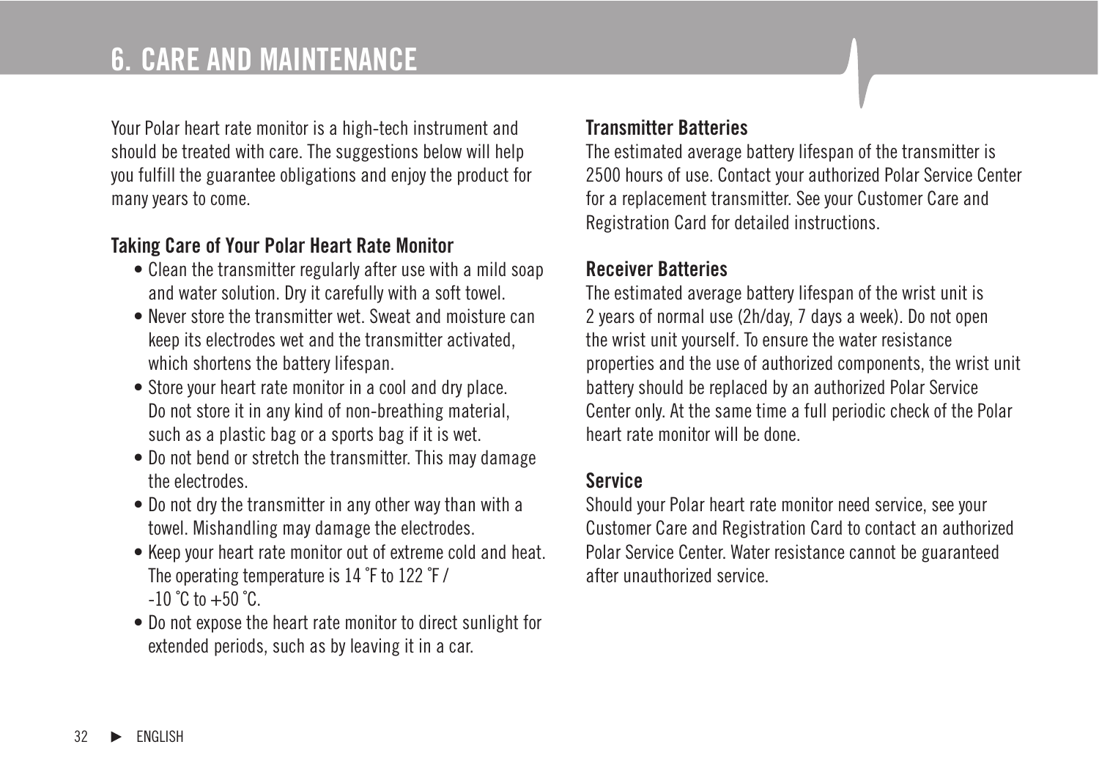### **6. CARE AND MAINTENANCE**

Your Polar heart rate monitor is a high-tech instrument and should be treated with care. The suggestions below will help you fulfill the guarantee obligations and enjoy the product for many years to come.

### **Taking Care of Your Polar Heart Rate Monitor**

- Clean the transmitter regularly after use with a mild soap and water solution. Dry it carefully with a soft towel.
- Never store the transmitter wet. Sweat and moisture can keep its electrodes wet and the transmitter activated, which shortens the battery lifespan.
- Store your heart rate monitor in a cool and dry place. Do not store it in any kind of non-breathing material, such as a plastic bag or a sports bag if it is wet.
- Do not bend or stretch the transmitter. This may damage the electrodes.
- Do not dry the transmitter in any other way than with a towel. Mishandling may damage the electrodes.
- Keep your heart rate monitor out of extreme cold and heat. The operating temperature is 14 ˚F to 122 ˚F /  $-10$  °C to  $+50$  °C.
- Do not expose the heart rate monitor to direct sunlight for extended periods, such as by leaving it in a car.

#### **Transmitter Batteries**

The estimated average battery lifespan of the transmitter is 2500 hours of use. Contact your authorized Polar Service Center for a replacement transmitter. See your Customer Care and Registration Card for detailed instructions.

### **Receiver Batteries**

The estimated average battery lifespan of the wrist unit is 2 years of normal use (2h/day, 7 days a week). Do not open the wrist unit yourself. To ensure the water resistance properties and the use of authorized components, the wrist unit battery should be replaced by an authorized Polar Service Center only. At the same time a full periodic check of the Polar heart rate monitor will be done.

#### **Service**

Should your Polar heart rate monitor need service, see your Customer Care and Registration Card to contact an authorized Polar Service Center. Water resistance cannot be guaranteed after unauthorized service.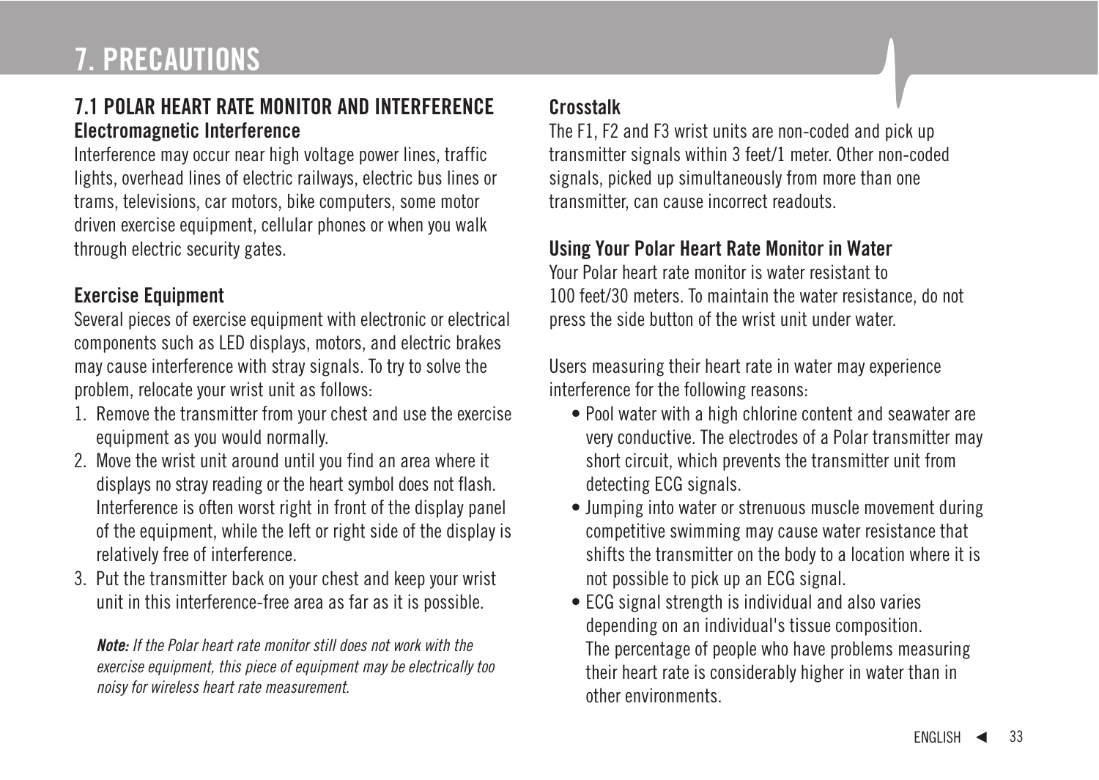### **7.1 POLAR HEART RATE MONITOR AND INTERFERENCE Electromagnetic Interference**

Interference may occur near high voltage power lines, traffic lights, overhead lines of electric railways, electric bus lines or trams, televisions, car motors, bike computers, some motor driven exercise equipment, cellular phones or when you walk through electric security gates.

### **Exercise Equipment**

Several pieces of exercise equipment with electronic or electrical components such as LED displays, motors, and electric brakes may cause interference with stray signals. To try to solve the problem, relocate your wrist unit as follows:

- 1. Remove the transmitter from your chest and use the exercise equipment as you would normally.
- 2. Move the wrist unit around until you find an area where it displays no stray reading or the heart symbol does not flash. Interference is often worst right in front of the display panel of the equipment, while the left or right side of the display is relatively free of interference.
- 3. Put the transmitter back on your chest and keep your wrist unit in this interference-free area as far as it is possible.

**Note:** If the Polar heart rate monitor still does not work with the exercise equipment, this piece of equipment may be electrically too noisy for wireless heart rate measurement.

### **Crosstalk**

The F1, F2 and F3 wrist units are non-coded and pick up transmitter signals within 3 feet/1 meter. Other non-coded signals, picked up simultaneously from more than one transmitter, can cause incorrect readouts.

### **Using Your Polar Heart Rate Monitor in Water**

Your Polar heart rate monitor is water resistant to 100 feet/30 meters. To maintain the water resistance, do not press the side button of the wrist unit under water.

Users measuring their heart rate in water may experience interference for the following reasons:

- Pool water with a high chlorine content and seawater are very conductive. The electrodes of a Polar transmitter may short circuit, which prevents the transmitter unit from detecting ECG signals.
- Jumping into water or strenuous muscle movement during competitive swimming may cause water resistance that shifts the transmitter on the body to a location where it is not possible to pick up an ECG signal.
- ECG signal strength is individual and also varies depending on an individual's tissue composition. The percentage of people who have problems measuring their heart rate is considerably higher in water than in other environments.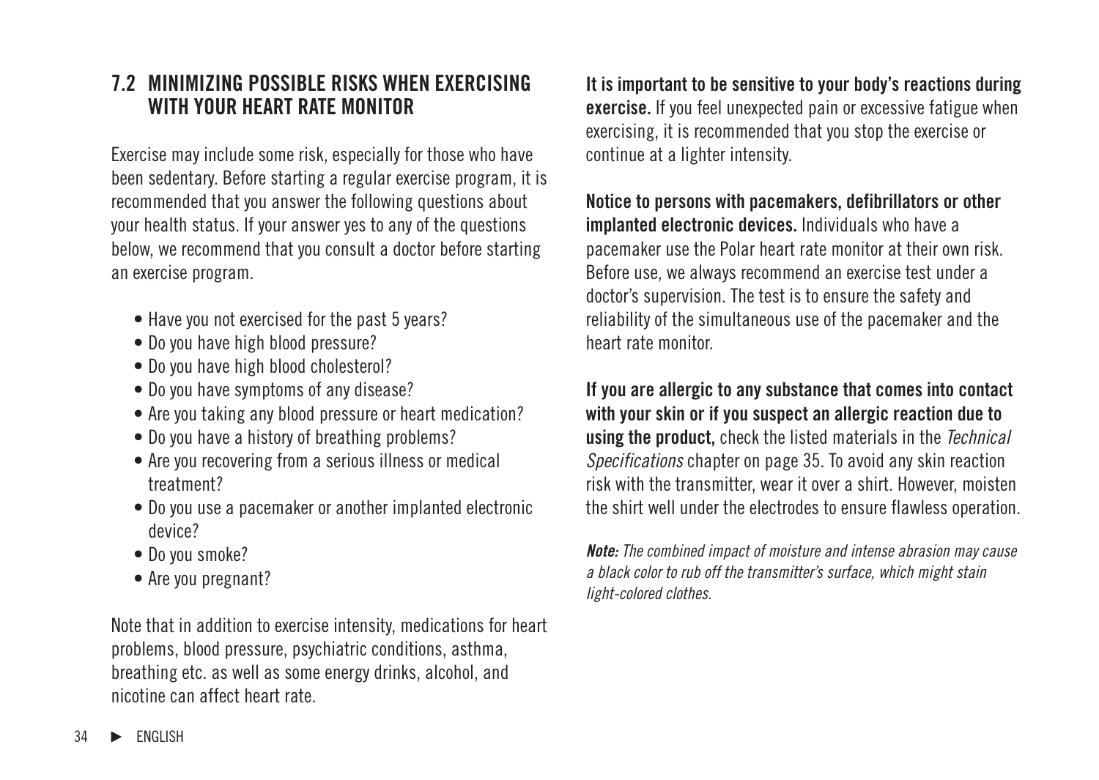### **7.2 MINIMIZING POSSIBLE RISKS WHEN EXERCISING WITH YOUR HEART RATE MONITOR**

Exercise may include some risk, especially for those who have been sedentary. Before starting a regular exercise program, it is recommended that you answer the following questions about your health status. If your answer yes to any of the questions below, we recommend that you consult a doctor before starting an exercise program.

- Have you not exercised for the past 5 years?
- Do you have high blood pressure?
- Do you have high blood cholesterol?
- Do you have symptoms of any disease?
- Are you taking any blood pressure or heart medication?
- Do you have a history of breathing problems?
- Are you recovering from a serious illness or medical treatment?
- Do you use a pacemaker or another implanted electronic device?
- Do you smoke?
- Are you pregnant?

Note that in addition to exercise intensity, medications for heart problems, blood pressure, psychiatric conditions, asthma, breathing etc. as well as some energy drinks, alcohol, and nicotine can affect heart rate.

**It is important to be sensitive to your body's reactions during exercise.** If you feel unexpected pain or excessive fatigue when exercising, it is recommended that you stop the exercise or continue at a lighter intensity.

**Notice to persons with pacemakers, defibrillators or other implanted electronic devices.** Individuals who have a pacemaker use the Polar heart rate monitor at their own risk. Before use, we always recommend an exercise test under a doctor's supervision. The test is to ensure the safety and reliability of the simultaneous use of the pacemaker and the heart rate monitor.

**If you are allergic to any substance that comes into contact with your skin or if you suspect an allergic reaction due to using the product,** check the listed materials in the Technical Specifications chapter on page 35. To avoid any skin reaction risk with the transmitter, wear it over a shirt. However, moisten the shirt well under the electrodes to ensure flawless operation.

**Note:** The combined impact of moisture and intense abrasion may cause a black color to rub off the transmitter's surface, which might stain light-colored clothes.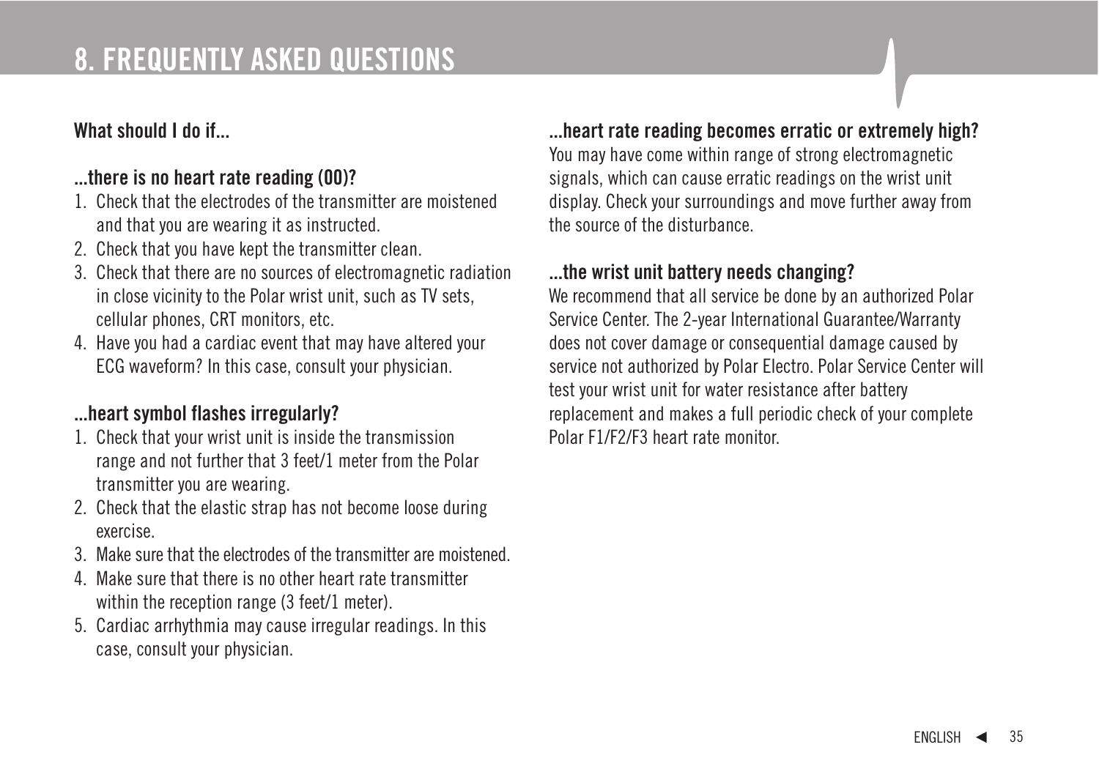### **8. FREQUENTLY ASKED QUESTIONS**

### **What should I do if...**

### **...there is no heart rate reading (00)?**

- 1. Check that the electrodes of the transmitter are moistened and that you are wearing it as instructed.
- 2. Check that you have kept the transmitter clean.
- 3. Check that there are no sources of electromagnetic radiation in close vicinity to the Polar wrist unit, such as TV sets, cellular phones, CRT monitors, etc.
- 4. Have you had a cardiac event that may have altered your ECG waveform? In this case, consult your physician.

### **...heart symbol flashes irregularly?**

- 1. Check that your wrist unit is inside the transmission range and not further that 3 feet/1 meter from the Polar transmitter you are wearing.
- 2. Check that the elastic strap has not become loose during exercise.
- 3. Make sure that the electrodes of the transmitter are moistened.
- 4. Make sure that there is no other heart rate transmitter within the reception range (3 feet/1 meter).
- 5. Cardiac arrhythmia may cause irregular readings. In this case, consult your physician.

#### **...heart rate reading becomes erratic or extremely high?**

You may have come within range of strong electromagnetic signals, which can cause erratic readings on the wrist unit display. Check your surroundings and move further away from the source of the disturbance.

### **...the wrist unit battery needs changing?**

We recommend that all service be done by an authorized Polar Service Center. The 2-year International Guarantee/Warranty does not cover damage or consequential damage caused by service not authorized by Polar Electro. Polar Service Center will test your wrist unit for water resistance after battery replacement and makes a full periodic check of your complete Polar F1/F2/F3 heart rate monitor.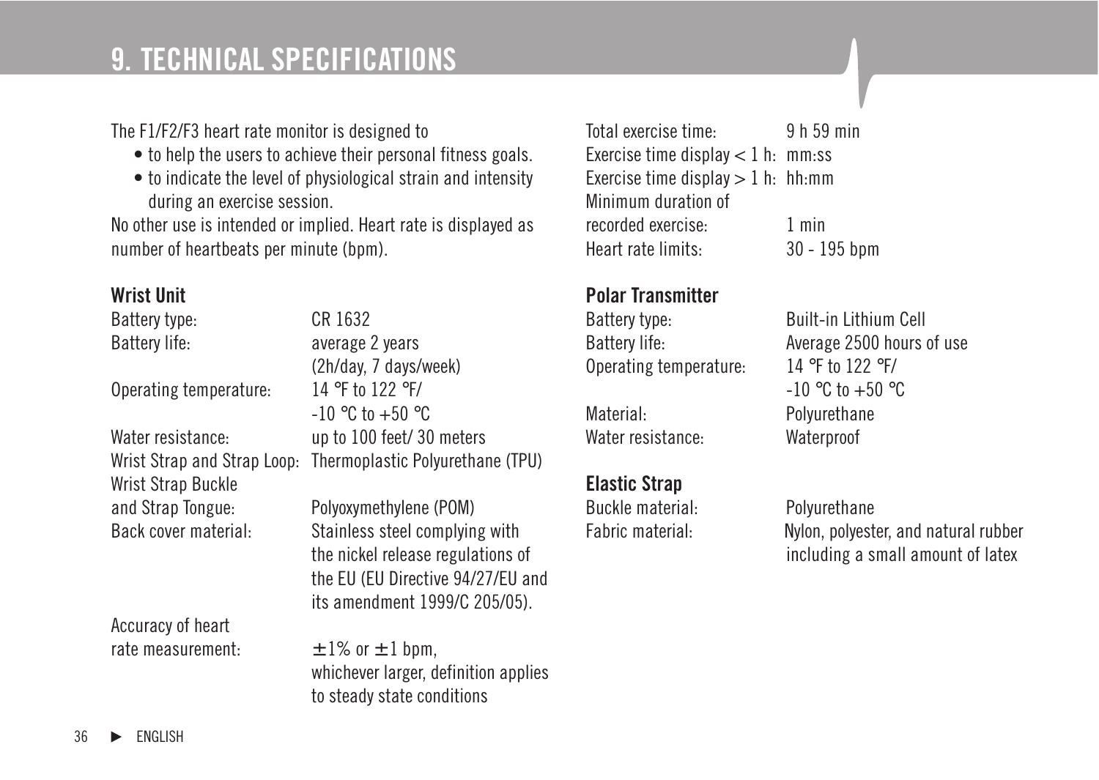### **9. TECHNICAL SPECIFICATIONS**

#### The F1/F2/F3 heart rate monitor is designed to

- to help the users to achieve their personal fitness goals.
- to indicate the level of physiological strain and intensity during an exercise session.

No other use is intended or implied. Heart rate is displayed as number of heartbeats per minute (bpm).

#### **Wrist Unit**

| Battery type:               | CR 1632                              |
|-----------------------------|--------------------------------------|
| Battery life:               | average 2 years                      |
|                             | (2h/day, 7 days/week)                |
| Operating temperature:      | 14 °F to 122 °F/                     |
|                             | $-10$ °C to $+50$ °C                 |
| Water resistance:           | up to 100 feet/30 meters             |
| Wrist Strap and Strap Loop: | Thermoplastic Polyurethane (TPU)     |
| Wrist Strap Buckle          |                                      |
| and Strap Tongue:           | Polyoxymethylene (POM)               |
| Back cover material:        | Stainless steel complying with       |
|                             | the nickel release regulations of    |
|                             | the EU (EU Directive 94/27/EU and    |
|                             | its amendment 1999/C 205/05).        |
| Accuracy of heart           |                                      |
| rate measurement:           | $\pm$ 1% or $\pm$ 1 bpm,             |
|                             | whichever larger, definition applies |
|                             | to steady state conditions           |
|                             |                                      |

Total exercise time: 9 h 59 min Exercise time display  $< 1$  h: mm·ss Exercise time display  $> 1$  h: hh:mm Minimum duration of recorded exercise: 1 min Heart rate limits: 30 - 195 bpm

#### **Polar Transmitter**

Operating temperature: 14 °F to 122 °F/

Material: Polyurethane Water resistance: Waterproof

### **Elastic Strap**

Buckle material: Polyurethane

Battery type: Built-in Lithium Cell Battery life: Battery life: Average 2500 hours of use  $-10$  °C to  $+50$  °C

Fabric material: Nylon, polyester, and natural rubber including a small amount of latex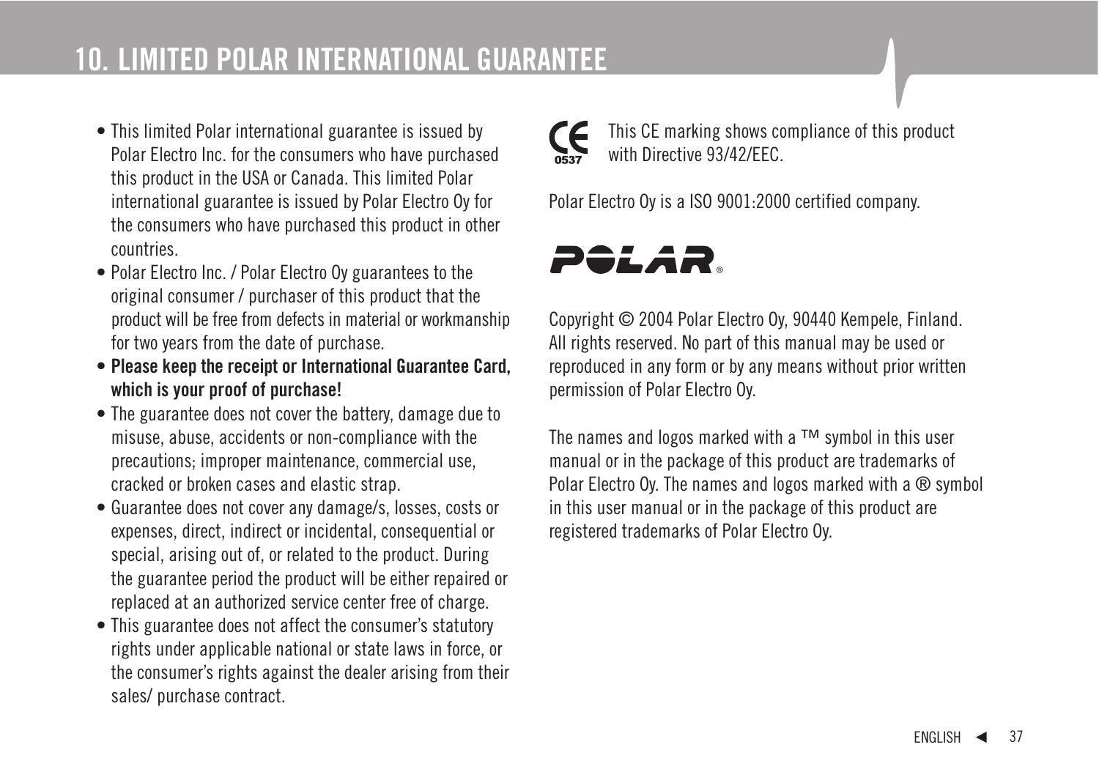- This limited Polar international guarantee is issued by Polar Electro Inc. for the consumers who have purchased this product in the USA or Canada. This limited Polar international guarantee is issued by Polar Electro Oy for the consumers who have purchased this product in other countries.
- Polar Electro Inc. / Polar Electro Oy guarantees to the original consumer / purchaser of this product that the product will be free from defects in material or workmanship for two years from the date of purchase.
- **Please keep the receipt or International Guarantee Card, which is your proof of purchase!**
- The guarantee does not cover the battery, damage due to misuse, abuse, accidents or non-compliance with the precautions; improper maintenance, commercial use, cracked or broken cases and elastic strap.
- Guarantee does not cover any damage/s, losses, costs or expenses, direct, indirect or incidental, consequential or special, arising out of, or related to the product. During the guarantee period the product will be either repaired or replaced at an authorized service center free of charge.
- This guarantee does not affect the consumer's statutory rights under applicable national or state laws in force, or the consumer's rights against the dealer arising from their sales/ purchase contract.



This CE marking shows compliance of this product with Directive 03/12/EEC

Polar Electro Oy is a ISO 9001:2000 certified company.



Copyright © 2004 Polar Electro Oy, 90440 Kempele, Finland. All rights reserved. No part of this manual may be used or reproduced in any form or by any means without prior written permission of Polar Electro Oy.

The names and logos marked with a ™ symbol in this user manual or in the package of this product are trademarks of Polar Electro Ov. The names and logos marked with a ® symbol in this user manual or in the package of this product are registered trademarks of Polar Electro Oy.